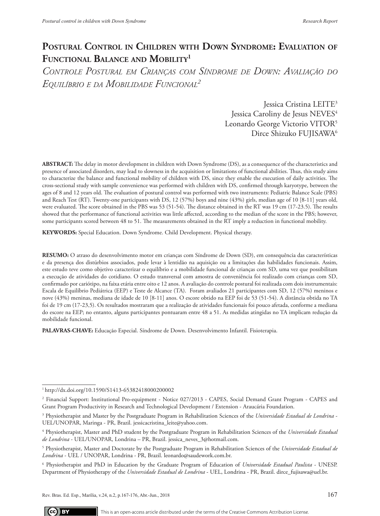# POSTURAL CONTROL IN CHILDREN WITH DOWN SYNDROME: EVALUATION OF **Functional Balance and Mobility1**

seres humanos. Brasília, DF; 2012. [cited 2014 Jan 12]. Available from: ROME DE **D**OWN: AVALIACAO DC  $\overline{\phantom{a}}$  are presentatively matrix  $\overline{\phantom{a}}$ profissionais de unidades de pronto atendimento sobre o serviço móvel *Controle Postural em Crianças com Síndrome de Down: Avaliação do* de urgência. Texto Contexto Enferm. 2011[cited 2014 Nov 03];20(spe):156- 63. Available from: http://www.scielo.br/scielo.php?script=sci\_ *Equilíbrio <sup>e</sup> da Mobilidade Funcional2*

> $I_{\text{escico}}$   $C_{\text{ristino}}$  I EITE<sup>3</sup> Jessica Cristina LEITE<sup>3</sup> Jessica Caroliny de Jesus NEVES<sup>4</sup> Leonardo George Victorio VITOR5  $\sum_{i=1}^{n}$   $\sum_{i=1}^{n}$   $\sum_{i=1}^{n}$  Princ Anvisé Dirce Shizuko FUJISAWA<sup>6</sup>

ABSTRACT: The delay in motor development in children with Down Syndrome (DS), as a consequence of the characteristics and presence of associated disorders, may lead to slowness in the acquisition or limitations of functional abilities. Thus, this study aims to characterize the balance and functional mobility of children with DS, since they enable the execution of daily activities. The cross-sectional study with sample convenience was performed with children with DS, confirmed through karyotype, between the cross-sectional study with sample convenience was performed with children with DS, confirmed throu 24. Section B, Manistric Concept of "Local Hamilton" for the Concept of Annual Concept of Annual Knowledges of Annual Concept of The evaluation of positive Reported with two instruments: Pediatric Balance Scale (PBS) and Reach Test (RT). Twenty-one participants with DS, 12 (57%) boys and nine (43%) girls, median age of 10 [8-11] years old, were evaluated. The score obtained in the PBS was 53 (51-54). The distance obtained in the RT was 19 cm (17-23.5). The results  $\frac{1}{20}$  and  $\frac{1}{20}$  may 10 map 10. Available from: http://portalpband.pdf in the K1 was 10 cm  $(1/2,2,0)$ .  $\frac{2}{\pi}$  the DT imply a reduction in functional mobility some participants scored between 48 to 51. The measurements obtained in the RT imply a reduction in functional mobility.<br>ages of 8 and 12 years old. The evaluation of postural control was performed with two instruments: Pediatric Balance Scale (PBS) showed that the performance of functional activities was little affected, according to the median of the score in the PBS; however,

KEYWORDS: Special Education. Down Syndrome. Child Development. Physical therapy.

**RESUMO:** O atraso do desenvolvimento motor em crianças com Síndrome de Down (SD), em consequência das características e da presença dos distúrbios associados, pode levar à lentidão na aquisição ou a limitações das habilidades funcionais. Assim, este estudo teve como objetivo caracterizar o equilíbrio e a mobilidade funcional de crianças com SD, uma vez que possibilitam a execução de atividades do cotidiano. O estudo transversal com amostra de conveniência foi realizado com crianças com SD, confirmado por cariótipo, na faixa etária entre oito e 12 anos. A avaliação do controle postural foi realizada com dois instrumentais: Escala de Equilíbrio Pediátrica (EEP) e Teste de Alcance (TA). Foram avaliados 21 participantes com SD, 12 (57%) meninos e nove (43%) meninas, mediana de idade de 10 [8-11] anos. O escore obtido na EEP foi de 53 (51-54). A distância obtida no TA foi de 19 cm (17-23,5). Os resultados mostraram que a realização de atividades funcionais foi pouco afetada, conforme a mediana do escore na EEP; no entanto, alguns participantes pontuaram entre 48 a 51. As medidas atingidas no TA implicam redução da mobilidade funcional.

**PALAVRAS-CHAVE:** Educação Especial. Síndrome de Down. Desenvolvimento Infantil. Fisioterapia.



<sup>1</sup> http://dx.doi.org/10.1590/S1413-65382418000200002

<sup>2</sup> Financial Support: Institutional Pro-equipment - Notice 027/2013 - CAPES, Social Demand Grant Program - CAPES and Grant Program Productivity in Research and Technological Development / Extension - Araucária Foundation.

<sup>3</sup> Physiotherapist and Master by the Postgraduate Program in Rehabilitation Sciences of the *Universidade Estadual de Londrina* - UEL/UNOPAR, Maringa - PR, Brazil. jessicacristina\_leite@yahoo.com.

<sup>4</sup> Physiotherapist, Master and PhD student by the Postgraduate Program in Rehabilitation Sciences of the *Universidade Estadual de Londrina* - UEL/UNOPAR, Londrina – PR, Brazil. jessica\_neves\_3@hotmail.com.

<sup>5</sup> Physiotherapist, Master and Doctorate by the Postgraduate Program in Rehabilitation Sciences of the *Universidade Estadual de Londrina* - UEL / UNOPAR, Londrina - PR, Brazil. leonardo@saudework.com.br.

<sup>6</sup> Physiotherapist and PhD in Education by the Graduate Program of Education of *Universidade Estadual Paulista* - UNESP. Department of Physiotherapy of the *Universidade Estadual de Londrina* - UEL, Londrina - PR, Brazil. dirce\_fujisawa@uel.br.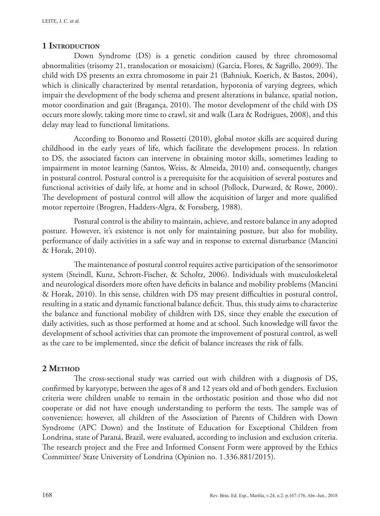## **1 Introduction**

Down Syndrome (DS) is a genetic condition caused by three chromosomal abnormalities (trisomy 21, translocation or mosaicism) (Garcia, Flores, & Sagrillo, 2009). The child with DS presents an extra chromosome in pair 21 (Bahniuk, Koerich, & Bastos, 2004), which is clinically characterized by mental retardation, hypotonia of varying degrees, which impair the development of the body schema and present alterations in balance, spatial notion, motor coordination and gait (Bragança, 2010). The motor development of the child with DS occurs more slowly, taking more time to crawl, sit and walk (Lara & Rodrigues, 2008), and this delay may lead to functional limitations.

According to Bonomo and Rossetti (2010), global motor skills are acquired during childhood in the early years of life, which facilitate the development process. In relation to DS, the associated factors can intervene in obtaining motor skills, sometimes leading to impairment in motor learning (Santos, Weiss, & Almeida, 2010) and, consequently, changes in postural control. Postural control is a prerequisite for the acquisition of several postures and functional activities of daily life, at home and in school (Pollock, Durward, & Rowe, 2000). The development of postural control will allow the acquisition of larger and more qualified motor repertoire (Brogren, Hadders-Algra, & Forssberg, 1988).

Postural control is the ability to maintain, achieve, and restore balance in any adopted posture. However, it's existence is not only for maintaining posture, but also for mobility, performance of daily activities in a safe way and in response to external disturbance (Mancini & Horak, 2010).

The maintenance of postural control requires active participation of the sensorimotor system (Steindl, Kunz, Schrott-Fischer, & Scholtz, 2006). Individuals with musculoskeletal and neurological disorders more often have deficits in balance and mobility problems (Mancini & Horak, 2010). In this sense, children with DS may present difficulties in postural control, resulting in a static and dynamic functional balance deficit. Thus, this study aims to characterize the balance and functional mobility of children with DS, since they enable the execution of daily activities, such as those performed at home and at school. Such knowledge will favor the development of school activities that can promote the improvement of postural control, as well as the care to be implemented, since the deficit of balance increases the risk of falls.

## **2 Method**

The cross-sectional study was carried out with children with a diagnosis of DS, confirmed by karyotype, between the ages of 8 and 12 years old and of both genders. Exclusion criteria were children unable to remain in the orthostatic position and those who did not cooperate or did not have enough understanding to perform the tests. The sample was of convenience; however, all children of the Association of Parents of Children with Down Syndrome (APC Down) and the Institute of Education for Exceptional Children from Londrina, state of Paraná, Brazil, were evaluated, according to inclusion and exclusion criteria. The research project and the Free and Informed Consent Form were approved by the Ethics Committee/ State University of Londrina (Opinion no. 1.336.881/2015).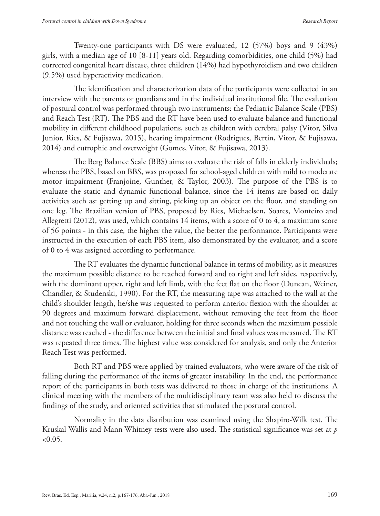Twenty-one participants with DS were evaluated, 12 (57%) boys and 9 (43%) girls, with a median age of 10 [8-11] years old. Regarding comorbidities, one child (5%) had corrected congenital heart disease, three children (14%) had hypothyroidism and two children (9.5%) used hyperactivity medication.

The identification and characterization data of the participants were collected in an interview with the parents or guardians and in the individual institutional file. The evaluation of postural control was performed through two instruments: the Pediatric Balance Scale (PBS) and Reach Test (RT). The PBS and the RT have been used to evaluate balance and functional mobility in different childhood populations, such as children with cerebral palsy (Vitor, Silva Junior, Ries, & Fujisawa, 2015), hearing impairment (Rodrigues, Bertin, Vitor, & Fujisawa, 2014) and eutrophic and overweight (Gomes, Vitor, & Fujisawa, 2013).

The Berg Balance Scale (BBS) aims to evaluate the risk of falls in elderly individuals; whereas the PBS, based on BBS, was proposed for school-aged children with mild to moderate motor impairment (Franjoine, Gunther, & Taylor, 2003). The purpose of the PBS is to evaluate the static and dynamic functional balance, since the 14 items are based on daily activities such as: getting up and sitting, picking up an object on the floor, and standing on one leg. The Brazilian version of PBS, proposed by Ries, Michaelsen, Soares, Monteiro and Allegretti (2012), was used, which contains 14 items, with a score of 0 to 4, a maximum score of 56 points - in this case, the higher the value, the better the performance. Participants were instructed in the execution of each PBS item, also demonstrated by the evaluator, and a score of 0 to 4 was assigned according to performance.

The RT evaluates the dynamic functional balance in terms of mobility, as it measures the maximum possible distance to be reached forward and to right and left sides, respectively, with the dominant upper, right and left limb, with the feet flat on the floor (Duncan, Weiner, Chandler, & Studenski, 1990). For the RT, the measuring tape was attached to the wall at the child's shoulder length, he/she was requested to perform anterior flexion with the shoulder at 90 degrees and maximum forward displacement, without removing the feet from the floor and not touching the wall or evaluator, holding for three seconds when the maximum possible distance was reached - the difference between the initial and final values was measured. The RT was repeated three times. The highest value was considered for analysis, and only the Anterior Reach Test was performed.

Both RT and PBS were applied by trained evaluators, who were aware of the risk of falling during the performance of the items of greater instability. In the end, the performance report of the participants in both tests was delivered to those in charge of the institutions. A clinical meeting with the members of the multidisciplinary team was also held to discuss the findings of the study, and oriented activities that stimulated the postural control.

Normality in the data distribution was examined using the Shapiro-Wilk test. The Kruskal Wallis and Mann-Whitney tests were also used. The statistical significance was set at *p*  $<0.05$ .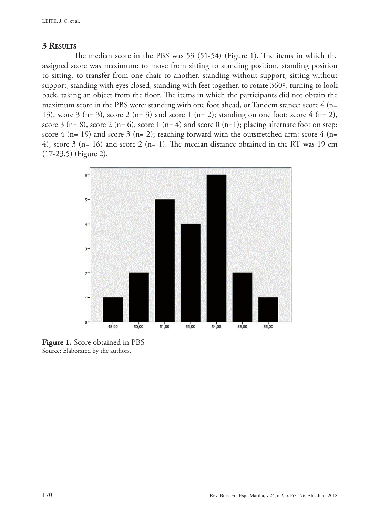#### **3 Results**

The median score in the PBS was 53 (51-54) (Figure 1). The items in which the assigned score was maximum: to move from sitting to standing position, standing position to sitting, to transfer from one chair to another, standing without support, sitting without support, standing with eyes closed, standing with feet together, to rotate 360º, turning to look back, taking an object from the floor. The items in which the participants did not obtain the maximum score in the PBS were: standing with one foot ahead, or Tandem stance: score 4 (n= 13), score 3 (n= 3), score 2 (n= 3) and score 1 (n= 2); standing on one foot: score 4 (n= 2), score 3 (n= 8), score 2 (n= 6), score 1 (n= 4) and score 0 (n=1); placing alternate foot on step: score 4 (n= 19) and score 3 (n= 2); reaching forward with the outstretched arm: score 4 (n= 4), score 3 (n= 16) and score 2 (n= 1). The median distance obtained in the RT was 19 cm (17-23.5) (Figure 2).



**Figure 1.** Score obtained in PBS Source: Elaborated by the authors.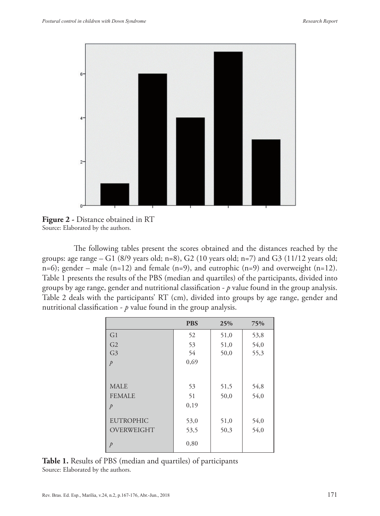

**Figure 2 -** Distance obtained in RT Source: Elaborated by the authors.

The following tables present the scores obtained and the distances reached by the groups: age range – G1 (8/9 years old; n=8), G2 (10 years old; n=7) and G3 (11/12 years old; n=6); gender – male (n=12) and female (n=9), and eutrophic (n=9) and overweight (n=12). Table 1 presents the results of the PBS (median and quartiles) of the participants, divided into groups by age range, gender and nutritional classification - *p* value found in the group analysis. Table 2 deals with the participants' RT (cm), divided into groups by age range, gender and nutritional classification  $-\ p$  value found in the group analysis.

|                  | <b>PBS</b> | 25%  | 75%  |
|------------------|------------|------|------|
| G1               | 52         | 51,0 | 53,8 |
| G2               | 53         | 51,0 | 54,0 |
| G <sub>3</sub>   | 54         | 50,0 | 55,3 |
| $\mathcal{P}$    | 0,69       |      |      |
|                  |            |      |      |
| <b>MALE</b>      | 53         | 51,5 | 54,8 |
| <b>FEMALE</b>    | 51         | 50,0 | 54,0 |
| $\mathcal{P}$    | 0,19       |      |      |
|                  |            |      |      |
| <b>EUTROPHIC</b> | 53,0       | 51,0 | 54,0 |
| OVERWEIGHT       | 53,5       | 50,3 | 54,0 |
| $\overline{P}$   | 0,80       |      |      |

**Table 1.** Results of PBS (median and quartiles) of participants Source: Elaborated by the authors.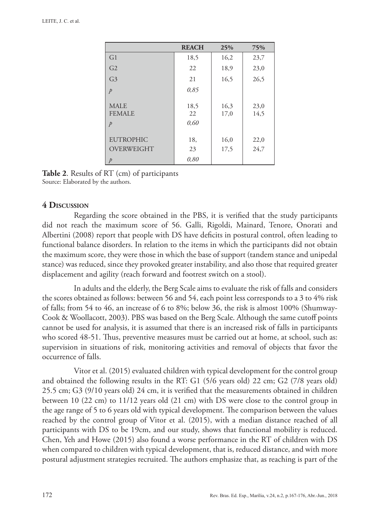|                                               | <b>REACH</b>       | 25%          | 75%          |
|-----------------------------------------------|--------------------|--------------|--------------|
| G1                                            | 18,5               | 16,2         | 23,7         |
| G <sub>2</sub>                                | 22                 | 18,9         | 23,0         |
| G <sub>3</sub>                                | 21                 | 16,5         | 26,5         |
| $\mathcal{P}$                                 | 0,85               |              |              |
| <b>MALE</b><br><b>FEMALE</b><br>$\mathcal{P}$ | 18,5<br>22<br>0,60 | 16,3<br>17,0 | 23,0<br>14,5 |
| <b>EUTROPHIC</b><br>OVERWEIGHT                | 18,<br>23          | 16,0<br>17,5 | 22,0<br>24,7 |
| $\mathcal{P}$                                 | 0,80               |              |              |

**Table 2**. Results of RT (cm) of participants Source: Elaborated by the authors.

### **4 Discussion**

Regarding the score obtained in the PBS, it is verified that the study participants did not reach the maximum score of 56. Galli, Rigoldi, Mainard, Tenore, Onorati and Albertini (2008) report that people with DS have deficits in postural control, often leading to functional balance disorders. In relation to the items in which the participants did not obtain the maximum score, they were those in which the base of support (tandem stance and unipedal stance) was reduced, since they provoked greater instability, and also those that required greater displacement and agility (reach forward and footrest switch on a stool).

In adults and the elderly, the Berg Scale aims to evaluate the risk of falls and considers the scores obtained as follows: between 56 and 54, each point less corresponds to a 3 to 4% risk of falls; from 54 to 46, an increase of 6 to 8%; below 36, the risk is almost 100% (Shumway-Cook & Woollacott, 2003). PBS was based on the Berg Scale. Although the same cutoff points cannot be used for analysis, it is assumed that there is an increased risk of falls in participants who scored 48-51. Thus, preventive measures must be carried out at home, at school, such as: supervision in situations of risk, monitoring activities and removal of objects that favor the occurrence of falls.

Vitor et al. (2015) evaluated children with typical development for the control group and obtained the following results in the RT: G1 (5/6 years old) 22 cm; G2 (7/8 years old) 25.5 cm; G3 (9/10 years old) 24 cm, it is verified that the measurements obtained in children between 10 (22 cm) to 11/12 years old (21 cm) with DS were close to the control group in the age range of 5 to 6 years old with typical development. The comparison between the values reached by the control group of Vitor et al. (2015), with a median distance reached of all participants with DS to be 19cm, and our study, shows that functional mobility is reduced. Chen, Yeh and Howe (2015) also found a worse performance in the RT of children with DS when compared to children with typical development, that is, reduced distance, and with more postural adjustment strategies recruited. The authors emphasize that, as reaching is part of the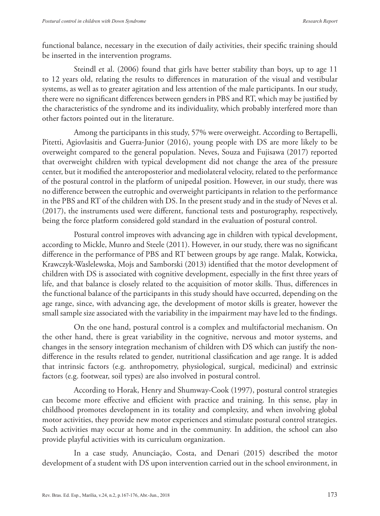functional balance, necessary in the execution of daily activities, their specific training should be inserted in the intervention programs.

Steindl et al. (2006) found that girls have better stability than boys, up to age 11 to 12 years old, relating the results to differences in maturation of the visual and vestibular systems, as well as to greater agitation and less attention of the male participants. In our study, there were no significant differences between genders in PBS and RT, which may be justified by the characteristics of the syndrome and its individuality, which probably interfered more than other factors pointed out in the literature.

Among the participants in this study, 57% were overweight. According to Bertapelli, Pitetti, Agiovlasitis and Guerra-Junior (2016), young people with DS are more likely to be overweight compared to the general population. Neves, Souza and Fujisawa (2017) reported that overweight children with typical development did not change the area of the pressure center, but it modified the anteroposterior and mediolateral velocity, related to the performance of the postural control in the platform of unipedal position. However, in our study, there was no difference between the eutrophic and overweight participants in relation to the performance in the PBS and RT of the children with DS. In the present study and in the study of Neves et al. (2017), the instruments used were different, functional tests and posturography, respectively, being the force platform considered gold standard in the evaluation of postural control.

Postural control improves with advancing age in children with typical development, according to Mickle, Munro and Steele (2011). However, in our study, there was no significant difference in the performance of PBS and RT between groups by age range. Malak, Kotwicka, Krawczyk-Waslelewska, Mojs and Samborski (2013) identified that the motor development of children with DS is associated with cognitive development, especially in the first three years of life, and that balance is closely related to the acquisition of motor skills. Thus, differences in the functional balance of the participants in this study should have occurred, depending on the age range, since, with advancing age, the development of motor skills is greater, however the small sample size associated with the variability in the impairment may have led to the findings.

On the one hand, postural control is a complex and multifactorial mechanism. On the other hand, there is great variability in the cognitive, nervous and motor systems, and changes in the sensory integration mechanism of children with DS which can justify the nondifference in the results related to gender, nutritional classification and age range. It is added that intrinsic factors (e.g. anthropometry, physiological, surgical, medicinal) and extrinsic factors (e.g. footwear, soil types) are also involved in postural control.

According to Horak, Henry and Shumway-Cook (1997), postural control strategies can become more effective and efficient with practice and training. In this sense, play in childhood promotes development in its totality and complexity, and when involving global motor activities, they provide new motor experiences and stimulate postural control strategies. Such activities may occur at home and in the community. In addition, the school can also provide playful activities with its curriculum organization.

In a case study, Anunciação, Costa, and Denari (2015) described the motor development of a student with DS upon intervention carried out in the school environment, in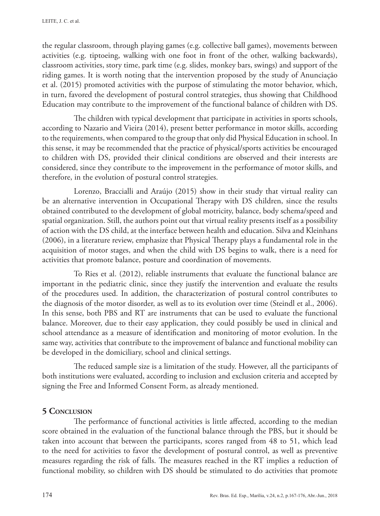the regular classroom, through playing games (e.g. collective ball games), movements between activities (e.g. tiptoeing, walking with one foot in front of the other, walking backwards), classroom activities, story time, park time (e.g. slides, monkey bars, swings) and support of the riding games. It is worth noting that the intervention proposed by the study of Anunciação et al. (2015) promoted activities with the purpose of stimulating the motor behavior, which, in turn, favored the development of postural control strategies, thus showing that Childhood Education may contribute to the improvement of the functional balance of children with DS.

The children with typical development that participate in activities in sports schools, according to Nazario and Vieira (2014), present better performance in motor skills, according to the requirements, when compared to the group that only did Physical Education in school. In this sense, it may be recommended that the practice of physical/sports activities be encouraged to children with DS, provided their clinical conditions are observed and their interests are considered, since they contribute to the improvement in the performance of motor skills, and therefore, in the evolution of postural control strategies.

Lorenzo, Braccialli and Araújo (2015) show in their study that virtual reality can be an alternative intervention in Occupational Therapy with DS children, since the results obtained contributed to the development of global motricity, balance, body schema/speed and spatial organization. Still, the authors point out that virtual reality presents itself as a possibility of action with the DS child, at the interface between health and education. Silva and Kleinhans (2006), in a literature review, emphasize that Physical Therapy plays a fundamental role in the acquisition of motor stages, and when the child with DS begins to walk, there is a need for activities that promote balance, posture and coordination of movements.

To Ries et al. (2012), reliable instruments that evaluate the functional balance are important in the pediatric clinic, since they justify the intervention and evaluate the results of the procedures used. In addition, the characterization of postural control contributes to the diagnosis of the motor disorder, as well as to its evolution over time (Steindl et al., 2006). In this sense, both PBS and RT are instruments that can be used to evaluate the functional balance. Moreover, due to their easy application, they could possibly be used in clinical and school attendance as a measure of identification and monitoring of motor evolution. In the same way, activities that contribute to the improvement of balance and functional mobility can be developed in the domiciliary, school and clinical settings.

The reduced sample size is a limitation of the study. However, all the participants of both institutions were evaluated, according to inclusion and exclusion criteria and accepted by signing the Free and Informed Consent Form, as already mentioned.

## **5 Conclusion**

The performance of functional activities is little affected, according to the median score obtained in the evaluation of the functional balance through the PBS, but it should be taken into account that between the participants, scores ranged from 48 to 51, which lead to the need for activities to favor the development of postural control, as well as preventive measures regarding the risk of falls. The measures reached in the RT implies a reduction of functional mobility, so children with DS should be stimulated to do activities that promote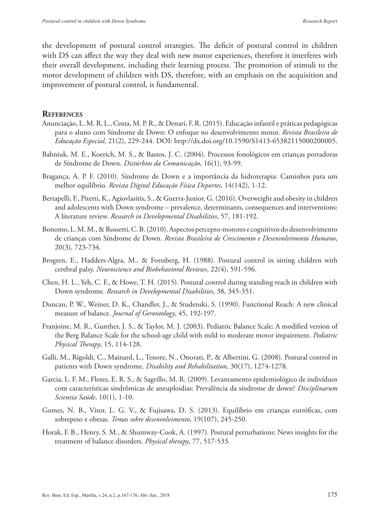the development of postural control strategies. The deficit of postural control in children with DS can affect the way they deal with new motor experiences, therefore it interferes with their overall development, including their learning process. The promotion of stimuli to the motor development of children with DS, therefore, with an emphasis on the acquisition and improvement of postural control, is fundamental.

#### **References**

- Anunciação, L. M. R. L., Costa, M. P. R., & Denari, F. R. (2015). Educação infantil e práticas pedagógicas para o aluno com Síndrome de Down: O enfoque no desenvolvimento motor. *Revista Brasileira de Educação Especial*, 21(2), 229-244. DOI: http://dx.doi.org/10.1590/S1413-65382115000200005.
- Bahniuk, M. E., Koerich, M. S., & Bastos, J. C. (2004). Processos fonológicos em crianças portadoras de Síndrome de Down. *Distúrbios da Comunicação*, 16(1), 93-99.
- Bragança, A. P. F. (2010). Síndrome de Down e a importância da hidroterapia: Caminhos para um melhor equilíbrio. *Revista Digital Educação Física Deportes*, 14(142), 1-12.
- Bertapelli, F., Pitetti, K., Agiovlasitis, S., & Guerra-Junior, G. (2016). Overweight and obesity in children and adolescents with Down syndrome – prevalence, determinants, consequences and interventions: A literature review. *Research in Developmental Disabilities*, 57, 181-192.
- Bonomo, L. M. M., & Rossetti, C. B. (2010). Aspectos percepto-motores e cognitivos do desenvolvimento de crianças com Síndrome de Down. *Revista Brasileira de Crescimento e Desenvolvimento Humano*, 20(3), 723-734.
- Brogren, E., Hadders-Algra, M., & Forssberg, H. (1988). Postural control in sitting children with cerebral palsy. *Neuroscience and Biobehavioral Reviews*, 22(4), 591-596.
- Chen, H. L., Yeh, C. F., & Howe, T. H. (2015). Postural control during standing reach in children with Down syndrome. *Research in Developmental Disabilities*, 38, 345-351.
- Duncan, P. W., Weiner, D. K., Chandler, J., & Studenski, S. (1990). Functional Reach: A new clinical measure of balance. *Journal of Gerontology*, 45, 192-197.
- Franjoine, M. R., Gunther, J. S., & Taylor, M. J. (2003). Pediatric Balance Scale: A modified version of the Berg Balance Scale for the school-age child with mild to moderate motor impairment. *Pediatric Physical Therapy*, 15, 114-128.
- Galli, M., Rigoldi, C., Mainard, L., Tenore, N., Onorati, P., & Albertini, G. (2008). Postural control in patients with Down syndrome. *Disability and Rehabilitation*, 30(17), 1274-1278.
- Garcia, L. F. M., Flores, E. R. S., & Sagrillo, M. R. (2009). Levantamento epidemiológico de indivíduos com características sindrômicas de aneuploidias: Prevalência da síndrome de down? *Disciplinarum Scientia Saúde*, 10(1), 1-10.
- Gomes, N. B., Vitor, L. G. V., & Fujisawa, D. S. (2013). Equilíbrio em crianças eutróficas, com sobrepeso e obesas. *Temas sobre desenvolvimento*, 19(107), 245-250.
- Horak, F. B., Henry, S. M., & Shumway-Cook, A. (1997). Postural perturbations: News insights for the treatment of balance disorders. *Physical therapy*, 77, 517-533.